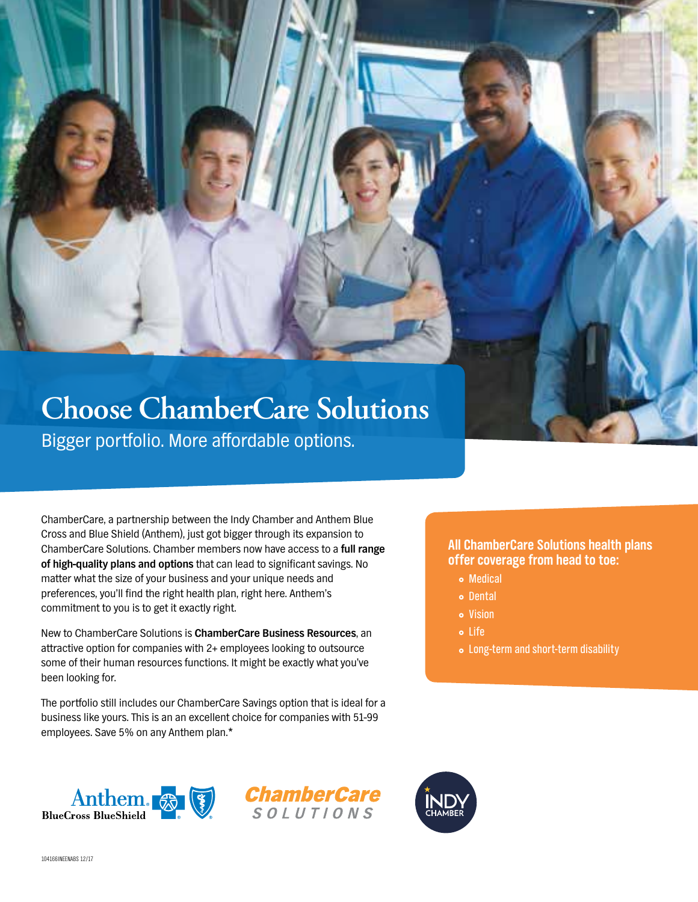# **Choose ChamberCare Solutions**

Bigger portfolio. More affordable options.

ChamberCare, a partnership between the Indy Chamber and Anthem Blue Cross and Blue Shield (Anthem), just got bigger through its expansion to ChamberCare Solutions. Chamber members now have access to a **full range of high-quality plans and options** that can lead to significant savings. No matter what the size of your business and your unique needs and preferences, you'll find the right health plan, right here. Anthem's commitment to you is to get it exactly right.

New to ChamberCare Solutions is **ChamberCare Business Resources**, an attractive option for companies with 2+ employees looking to outsource some of their human resources functions. It might be exactly what you've been looking for.

The portfolio still includes our ChamberCare Savings option that is ideal for a business like yours. This is an an excellent choice for companies with 51-99 employees. Save 5% on any Anthem plan.\*

## **All ChamberCare Solutions health plans offer coverage from head to toe:**

- **•** Medical
- } Dental
- Vision
- } Life
- Long-term and short-term disability